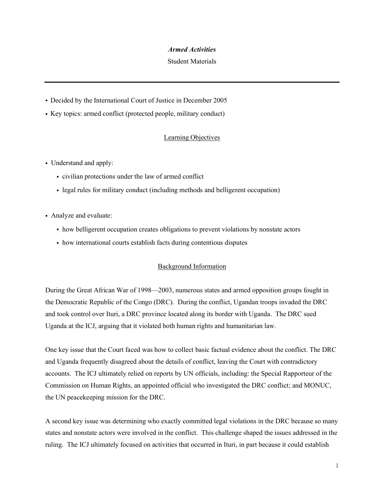### *Armed Activities*

### Student Materials

- ! Decided by the International Court of Justice in December 2005
- ! Key topics: armed conflict (protected people, military conduct)

# Learning Objectives

- Understand and apply:
	- ! civilian protections under the law of armed conflict
	- ! legal rules for military conduct (including methods and belligerent occupation)
- ! Analyze and evaluate:
	- ! how belligerent occupation creates obligations to prevent violations by nonstate actors
	- ! how international courts establish facts during contentious disputes

### Background Information

During the Great African War of 1998—2003, numerous states and armed opposition groups fought in the Democratic Republic of the Congo (DRC). During the conflict, Ugandan troops invaded the DRC and took control over Ituri, a DRC province located along its border with Uganda. The DRC sued Uganda at the ICJ, arguing that it violated both human rights and humanitarian law.

One key issue that the Court faced was how to collect basic factual evidence about the conflict. The DRC and Uganda frequently disagreed about the details of conflict, leaving the Court with contradictory accounts. The ICJ ultimately relied on reports by UN officials, including: the Special Rapporteur of the Commission on Human Rights, an appointed official who investigated the DRC conflict; and MONUC, the UN peacekeeping mission for the DRC.

A second key issue was determining who exactly committed legal violations in the DRC because so many states and nonstate actors were involved in the conflict. This challenge shaped the issues addressed in the ruling. The ICJ ultimately focused on activities that occurred in Ituri, in part because it could establish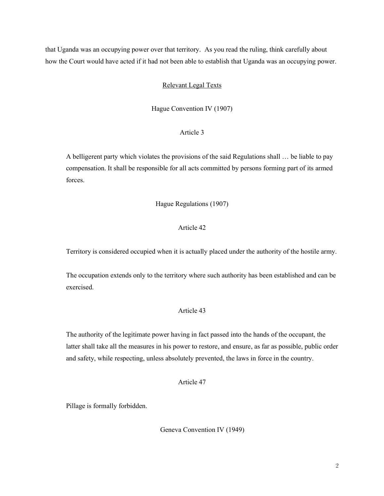that Uganda was an occupying power over that territory. As you read the ruling, think carefully about how the Court would have acted if it had not been able to establish that Uganda was an occupying power.

## Relevant Legal Texts

Hague Convention IV (1907)

# Article 3

A belligerent party which violates the provisions of the said Regulations shall … be liable to pay compensation. It shall be responsible for all acts committed by persons forming part of its armed forces.

## Hague Regulations (1907)

# Article 42

Territory is considered occupied when it is actually placed under the authority of the hostile army.

The occupation extends only to the territory where such authority has been established and can be exercised.

## Article 43

The authority of the legitimate power having in fact passed into the hands of the occupant, the latter shall take all the measures in his power to restore, and ensure, as far as possible, public order and safety, while respecting, unless absolutely prevented, the laws in force in the country.

Article 47

Pillage is formally forbidden.

Geneva Convention IV (1949)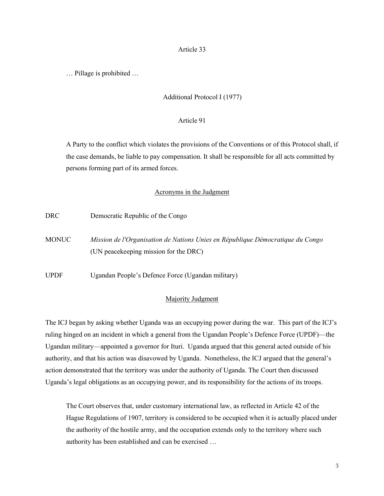#### Article 33

… Pillage is prohibited …

## Additional Protocol I (1977)

### Article 91

A Party to the conflict which violates the provisions of the Conventions or of this Protocol shall, if the case demands, be liable to pay compensation. It shall be responsible for all acts committed by persons forming part of its armed forces.

### Acronyms in the Judgment

DRC Democratic Republic of the Congo MONUC *Mission de l'Organisation de Nations Unies en République Démocratique du Congo* (UN peacekeeping mission for the DRC) UPDF Ugandan People's Defence Force (Ugandan military)

### Majority Judgment

The ICJ began by asking whether Uganda was an occupying power during the war. This part of the ICJ's ruling hinged on an incident in which a general from the Ugandan People's Defence Force (UPDF)—the Ugandan military—appointed a governor for Ituri. Uganda argued that this general acted outside of his authority, and that his action was disavowed by Uganda. Nonetheless, the ICJ argued that the general's action demonstrated that the territory was under the authority of Uganda. The Court then discussed Uganda's legal obligations as an occupying power, and its responsibility for the actions of its troops.

The Court observes that, under customary international law, as reflected in Article 42 of the Hague Regulations of 1907, territory is considered to be occupied when it is actually placed under the authority of the hostile army, and the occupation extends only to the territory where such authority has been established and can be exercised …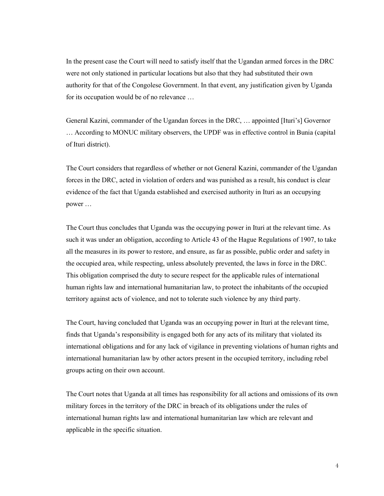In the present case the Court will need to satisfy itself that the Ugandan armed forces in the DRC were not only stationed in particular locations but also that they had substituted their own authority for that of the Congolese Government. In that event, any justification given by Uganda for its occupation would be of no relevance …

General Kazini, commander of the Ugandan forces in the DRC, … appointed [Ituri's] Governor … According to MONUC military observers, the UPDF was in effective control in Bunia (capital of Ituri district).

The Court considers that regardless of whether or not General Kazini, commander of the Ugandan forces in the DRC, acted in violation of orders and was punished as a result, his conduct is clear evidence of the fact that Uganda established and exercised authority in Ituri as an occupying power …

The Court thus concludes that Uganda was the occupying power in Ituri at the relevant time. As such it was under an obligation, according to Article 43 of the Hague Regulations of 1907, to take all the measures in its power to restore, and ensure, as far as possible, public order and safety in the occupied area, while respecting, unless absolutely prevented, the laws in force in the DRC. This obligation comprised the duty to secure respect for the applicable rules of international human rights law and international humanitarian law, to protect the inhabitants of the occupied territory against acts of violence, and not to tolerate such violence by any third party.

The Court, having concluded that Uganda was an occupying power in Ituri at the relevant time, finds that Uganda's responsibility is engaged both for any acts of its military that violated its international obligations and for any lack of vigilance in preventing violations of human rights and international humanitarian law by other actors present in the occupied territory, including rebel groups acting on their own account.

The Court notes that Uganda at all times has responsibility for all actions and omissions of its own military forces in the territory of the DRC in breach of its obligations under the rules of international human rights law and international humanitarian law which are relevant and applicable in the specific situation.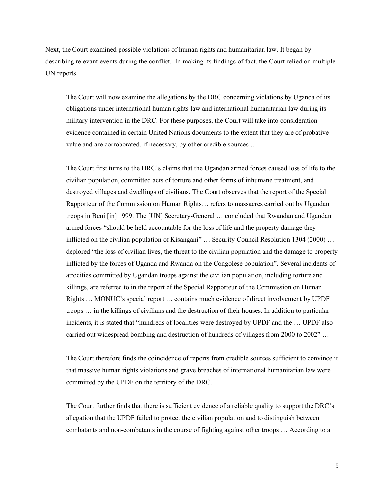Next, the Court examined possible violations of human rights and humanitarian law. It began by describing relevant events during the conflict. In making its findings of fact, the Court relied on multiple UN reports.

The Court will now examine the allegations by the DRC concerning violations by Uganda of its obligations under international human rights law and international humanitarian law during its military intervention in the DRC. For these purposes, the Court will take into consideration evidence contained in certain United Nations documents to the extent that they are of probative value and are corroborated, if necessary, by other credible sources …

The Court first turns to the DRC's claims that the Ugandan armed forces caused loss of life to the civilian population, committed acts of torture and other forms of inhumane treatment, and destroyed villages and dwellings of civilians. The Court observes that the report of the Special Rapporteur of the Commission on Human Rights… refers to massacres carried out by Ugandan troops in Beni [in] 1999. The [UN] Secretary-General … concluded that Rwandan and Ugandan armed forces "should be held accountable for the loss of life and the property damage they inflicted on the civilian population of Kisangani" … Security Council Resolution 1304 (2000) … deplored "the loss of civilian lives, the threat to the civilian population and the damage to property inflicted by the forces of Uganda and Rwanda on the Congolese population". Several incidents of atrocities committed by Ugandan troops against the civilian population, including torture and killings, are referred to in the report of the Special Rapporteur of the Commission on Human Rights … MONUC's special report … contains much evidence of direct involvement by UPDF troops … in the killings of civilians and the destruction of their houses. In addition to particular incidents, it is stated that "hundreds of localities were destroyed by UPDF and the … UPDF also carried out widespread bombing and destruction of hundreds of villages from 2000 to 2002" …

The Court therefore finds the coincidence of reports from credible sources sufficient to convince it that massive human rights violations and grave breaches of international humanitarian law were committed by the UPDF on the territory of the DRC.

The Court further finds that there is sufficient evidence of a reliable quality to support the DRC's allegation that the UPDF failed to protect the civilian population and to distinguish between combatants and non-combatants in the course of fighting against other troops … According to a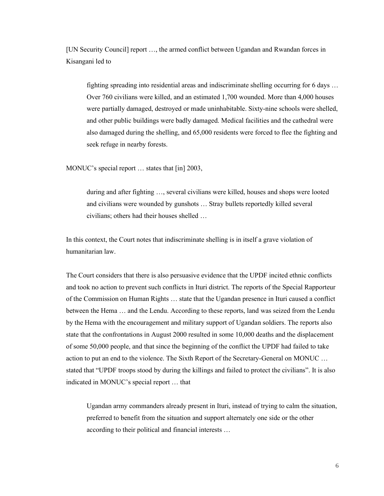[UN Security Council] report …, the armed conflict between Ugandan and Rwandan forces in Kisangani led to

fighting spreading into residential areas and indiscriminate shelling occurring for 6 days … Over 760 civilians were killed, and an estimated 1,700 wounded. More than 4,000 houses were partially damaged, destroyed or made uninhabitable. Sixty-nine schools were shelled, and other public buildings were badly damaged. Medical facilities and the cathedral were also damaged during the shelling, and 65,000 residents were forced to flee the fighting and seek refuge in nearby forests.

MONUC's special report … states that [in] 2003,

during and after fighting …, several civilians were killed, houses and shops were looted and civilians were wounded by gunshots … Stray bullets reportedly killed several civilians; others had their houses shelled …

In this context, the Court notes that indiscriminate shelling is in itself a grave violation of humanitarian law.

The Court considers that there is also persuasive evidence that the UPDF incited ethnic conflicts and took no action to prevent such conflicts in Ituri district. The reports of the Special Rapporteur of the Commission on Human Rights … state that the Ugandan presence in Ituri caused a conflict between the Hema … and the Lendu. According to these reports, land was seized from the Lendu by the Hema with the encouragement and military support of Ugandan soldiers. The reports also state that the confrontations in August 2000 resulted in some 10,000 deaths and the displacement of some 50,000 people, and that since the beginning of the conflict the UPDF had failed to take action to put an end to the violence. The Sixth Report of the Secretary-General on MONUC … stated that "UPDF troops stood by during the killings and failed to protect the civilians". It is also indicated in MONUC's special report … that

Ugandan army commanders already present in Ituri, instead of trying to calm the situation, preferred to benefit from the situation and support alternately one side or the other according to their political and financial interests …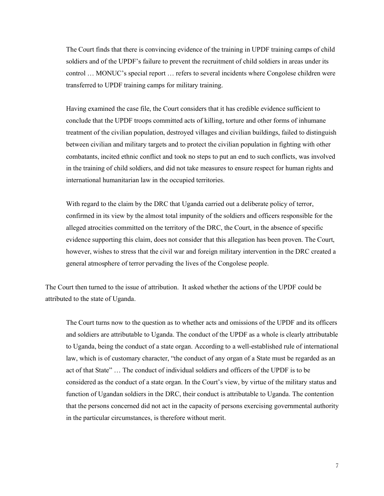The Court finds that there is convincing evidence of the training in UPDF training camps of child soldiers and of the UPDF's failure to prevent the recruitment of child soldiers in areas under its control … MONUC's special report … refers to several incidents where Congolese children were transferred to UPDF training camps for military training.

Having examined the case file, the Court considers that it has credible evidence sufficient to conclude that the UPDF troops committed acts of killing, torture and other forms of inhumane treatment of the civilian population, destroyed villages and civilian buildings, failed to distinguish between civilian and military targets and to protect the civilian population in fighting with other combatants, incited ethnic conflict and took no steps to put an end to such conflicts, was involved in the training of child soldiers, and did not take measures to ensure respect for human rights and international humanitarian law in the occupied territories.

With regard to the claim by the DRC that Uganda carried out a deliberate policy of terror, confirmed in its view by the almost total impunity of the soldiers and officers responsible for the alleged atrocities committed on the territory of the DRC, the Court, in the absence of specific evidence supporting this claim, does not consider that this allegation has been proven. The Court, however, wishes to stress that the civil war and foreign military intervention in the DRC created a general atmosphere of terror pervading the lives of the Congolese people.

The Court then turned to the issue of attribution. It asked whether the actions of the UPDF could be attributed to the state of Uganda.

The Court turns now to the question as to whether acts and omissions of the UPDF and its officers and soldiers are attributable to Uganda. The conduct of the UPDF as a whole is clearly attributable to Uganda, being the conduct of a state organ. According to a well-established rule of international law, which is of customary character, "the conduct of any organ of a State must be regarded as an act of that State" … The conduct of individual soldiers and officers of the UPDF is to be considered as the conduct of a state organ. In the Court's view, by virtue of the military status and function of Ugandan soldiers in the DRC, their conduct is attributable to Uganda. The contention that the persons concerned did not act in the capacity of persons exercising governmental authority in the particular circumstances, is therefore without merit.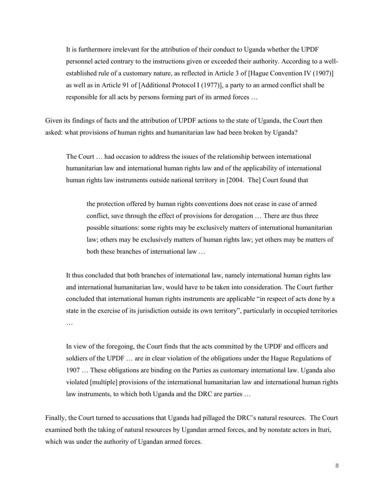It is furthermore irrelevant for the attribution of their conduct to Uganda whether the UPDF personnel acted contrary to the instructions given or exceeded their authority. According to a wellestablished rule of a customary nature, as reflected in Article 3 of [Hague Convention IV (1907)] as well as in Article 91 of [Additional Protocol I (1977)], a party to an armed conflict shall be responsible for all acts by persons forming part of its armed forces …

Given its findings of facts and the attribution of UPDF actions to the state of Uganda, the Court then asked: what provisions of human rights and humanitarian law had been broken by Uganda?

The Court … had occasion to address the issues of the relationship between international humanitarian law and international human rights law and of the applicability of international human rights law instruments outside national territory in [2004. The] Court found that

the protection offered by human rights conventions does not cease in case of armed conflict, save through the effect of provisions for derogation … There are thus three possible situations: some rights may be exclusively matters of international humanitarian law; others may be exclusively matters of human rights law; yet others may be matters of both these branches of international law …

It thus concluded that both branches of international law, namely international human rights law and international humanitarian law, would have to be taken into consideration. The Court further concluded that international human rights instruments are applicable "in respect of acts done by a state in the exercise of its jurisdiction outside its own territory", particularly in occupied territories …

In view of the foregoing, the Court finds that the acts committed by the UPDF and officers and soldiers of the UPDF … are in clear violation of the obligations under the Hague Regulations of 1907 … These obligations are binding on the Parties as customary international law. Uganda also violated [multiple] provisions of the international humanitarian law and international human rights law instruments, to which both Uganda and the DRC are parties …

Finally, the Court turned to accusations that Uganda had pillaged the DRC's natural resources. The Court examined both the taking of natural resources by Ugandan armed forces, and by nonstate actors in Ituri, which was under the authority of Ugandan armed forces.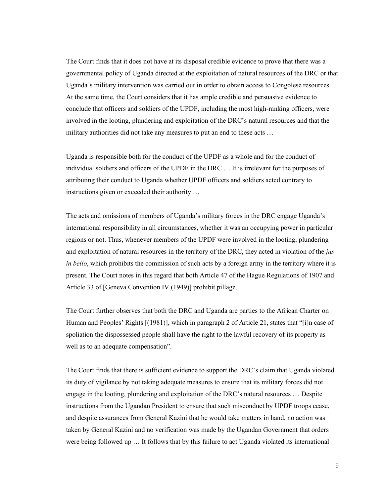The Court finds that it does not have at its disposal credible evidence to prove that there was a governmental policy of Uganda directed at the exploitation of natural resources of the DRC or that Uganda's military intervention was carried out in order to obtain access to Congolese resources. At the same time, the Court considers that it has ample credible and persuasive evidence to conclude that officers and soldiers of the UPDF, including the most high-ranking officers, were involved in the looting, plundering and exploitation of the DRC's natural resources and that the military authorities did not take any measures to put an end to these acts …

Uganda is responsible both for the conduct of the UPDF as a whole and for the conduct of individual soldiers and officers of the UPDF in the DRC … It is irrelevant for the purposes of attributing their conduct to Uganda whether UPDF officers and soldiers acted contrary to instructions given or exceeded their authority …

The acts and omissions of members of Uganda's military forces in the DRC engage Uganda's international responsibility in all circumstances, whether it was an occupying power in particular regions or not. Thus, whenever members of the UPDF were involved in the looting, plundering and exploitation of natural resources in the territory of the DRC, they acted in violation of the *jus in bello*, which prohibits the commission of such acts by a foreign army in the territory where it is present. The Court notes in this regard that both Article 47 of the Hague Regulations of 1907 and Article 33 of [Geneva Convention IV (1949)] prohibit pillage.

The Court further observes that both the DRC and Uganda are parties to the African Charter on Human and Peoples' Rights [(1981)], which in paragraph 2 of Article 21, states that "[i]n case of spoliation the dispossessed people shall have the right to the lawful recovery of its property as well as to an adequate compensation".

The Court finds that there is sufficient evidence to support the DRC's claim that Uganda violated its duty of vigilance by not taking adequate measures to ensure that its military forces did not engage in the looting, plundering and exploitation of the DRC's natural resources … Despite instructions from the Ugandan President to ensure that such misconduct by UPDF troops cease, and despite assurances from General Kazini that he would take matters in hand, no action was taken by General Kazini and no verification was made by the Ugandan Government that orders were being followed up … It follows that by this failure to act Uganda violated its international